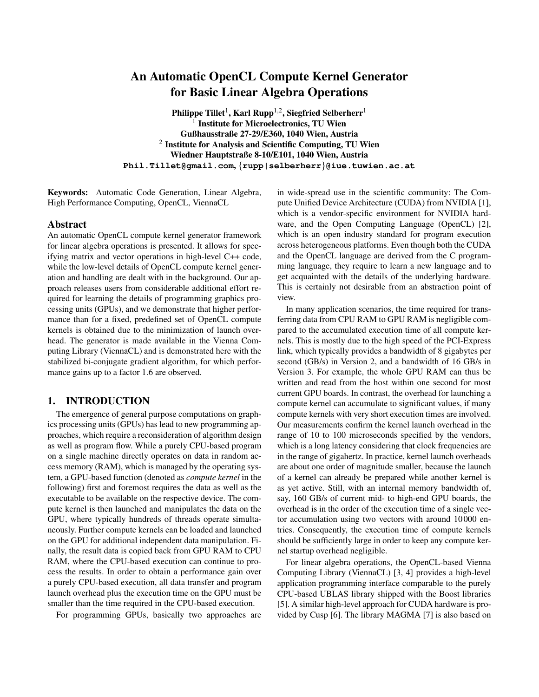# An Automatic OpenCL Compute Kernel Generator for Basic Linear Algebra Operations

Philippe Tillet $^1$ , Karl Rupp $^{1,2}$ , Siegfried Selberherr $^1$ <sup>1</sup> Institute for Microelectronics, TU Wien Gußhausstraße 27-29/E360, 1040 Wien, Austria  $2$  Institute for Analysis and Scientific Computing, TU Wien Wiedner Hauptstraße 8-10/E101, 1040 Wien, Austria **Phil.Tillet@gmail.com**, {**rupp|selberherr**}**@iue.tuwien.ac.at**

Keywords: Automatic Code Generation, Linear Algebra, High Performance Computing, OpenCL, ViennaCL

#### Abstract

An automatic OpenCL compute kernel generator framework for linear algebra operations is presented. It allows for specifying matrix and vector operations in high-level C++ code, while the low-level details of OpenCL compute kernel generation and handling are dealt with in the background. Our approach releases users from considerable additional effort required for learning the details of programming graphics processing units (GPUs), and we demonstrate that higher performance than for a fixed, predefined set of OpenCL compute kernels is obtained due to the minimization of launch overhead. The generator is made available in the Vienna Computing Library (ViennaCL) and is demonstrated here with the stabilized bi-conjugate gradient algorithm, for which performance gains up to a factor 1.6 are observed.

## 1. INTRODUCTION

The emergence of general purpose computations on graphics processing units (GPUs) has lead to new programming approaches, which require a reconsideration of algorithm design as well as program flow. While a purely CPU-based program on a single machine directly operates on data in random access memory (RAM), which is managed by the operating system, a GPU-based function (denoted as *compute kernel* in the following) first and foremost requires the data as well as the executable to be available on the respective device. The compute kernel is then launched and manipulates the data on the GPU, where typically hundreds of threads operate simultaneously. Further compute kernels can be loaded and launched on the GPU for additional independent data manipulation. Finally, the result data is copied back from GPU RAM to CPU RAM, where the CPU-based execution can continue to process the results. In order to obtain a performance gain over a purely CPU-based execution, all data transfer and program launch overhead plus the execution time on the GPU must be smaller than the time required in the CPU-based execution.

For programming GPUs, basically two approaches are

in wide-spread use in the scientific community: The Compute Unified Device Architecture (CUDA) from NVIDIA [1], which is a vendor-specific environment for NVIDIA hardware, and the Open Computing Language (OpenCL) [2], which is an open industry standard for program execution across heterogeneous platforms. Even though both the CUDA and the OpenCL language are derived from the C programming language, they require to learn a new language and to get acquainted with the details of the underlying hardware. This is certainly not desirable from an abstraction point of view.

In many application scenarios, the time required for transferring data from CPU RAM to GPU RAM is negligible compared to the accumulated execution time of all compute kernels. This is mostly due to the high speed of the PCI-Express link, which typically provides a bandwidth of 8 gigabytes per second (GB/s) in Version 2, and a bandwidth of 16 GB/s in Version 3. For example, the whole GPU RAM can thus be written and read from the host within one second for most current GPU boards. In contrast, the overhead for launching a compute kernel can accumulate to significant values, if many compute kernels with very short execution times are involved. Our measurements confirm the kernel launch overhead in the range of 10 to 100 microseconds specified by the vendors, which is a long latency considering that clock frequencies are in the range of gigahertz. In practice, kernel launch overheads are about one order of magnitude smaller, because the launch of a kernel can already be prepared while another kernel is as yet active. Still, with an internal memory bandwidth of, say, 160 GB/s of current mid- to high-end GPU boards, the overhead is in the order of the execution time of a single vector accumulation using two vectors with around 10 000 entries. Consequently, the execution time of compute kernels should be sufficiently large in order to keep any compute kernel startup overhead negligible.

For linear algebra operations, the OpenCL-based Vienna Computing Library (ViennaCL) [3, 4] provides a high-level application programming interface comparable to the purely CPU-based UBLAS library shipped with the Boost libraries [5]. A similar high-level approach for CUDA hardware is provided by Cusp [6]. The library MAGMA [7] is also based on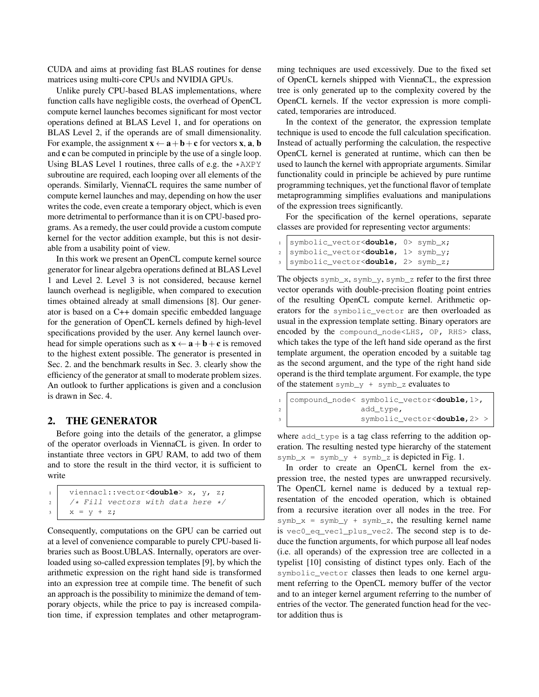CUDA and aims at providing fast BLAS routines for dense matrices using multi-core CPUs and NVIDIA GPUs.

Unlike purely CPU-based BLAS implementations, where function calls have negligible costs, the overhead of OpenCL compute kernel launches becomes significant for most vector operations defined at BLAS Level 1, and for operations on BLAS Level 2, if the operands are of small dimensionality. For example, the assignment  $x \leftarrow a+b+c$  for vectors **x**, **a**, **b** and c can be computed in principle by the use of a single loop. Using BLAS Level 1 routines, three calls of e.g. the  $*$ AXPY subroutine are required, each looping over all elements of the operands. Similarly, ViennaCL requires the same number of compute kernel launches and may, depending on how the user writes the code, even create a temporary object, which is even more detrimental to performance than it is on CPU-based programs. As a remedy, the user could provide a custom compute kernel for the vector addition example, but this is not desirable from a usability point of view.

In this work we present an OpenCL compute kernel source generator for linear algebra operations defined at BLAS Level 1 and Level 2. Level 3 is not considered, because kernel launch overhead is negligible, when compared to execution times obtained already at small dimensions [8]. Our generator is based on a C++ domain specific embedded language for the generation of OpenCL kernels defined by high-level specifications provided by the user. Any kernel launch overhead for simple operations such as  $x \leftarrow a+b+c$  is removed to the highest extent possible. The generator is presented in Sec. 2. and the benchmark results in Sec. 3. clearly show the efficiency of the generator at small to moderate problem sizes. An outlook to further applications is given and a conclusion is drawn in Sec. 4.

# 2. THE GENERATOR

Before going into the details of the generator, a glimpse of the operator overloads in ViennaCL is given. In order to instantiate three vectors in GPU RAM, to add two of them and to store the result in the third vector, it is sufficient to write

```
1 viennacl::vector<double> x, y, z;
2 /* Fill vectors with data here */
3 \mid x = y + z;
```
Consequently, computations on the GPU can be carried out at a level of convenience comparable to purely CPU-based libraries such as Boost.UBLAS. Internally, operators are overloaded using so-called expression templates [9], by which the arithmetic expression on the right hand side is transformed into an expression tree at compile time. The benefit of such an approach is the possibility to minimize the demand of temporary objects, while the price to pay is increased compilation time, if expression templates and other metaprogramming techniques are used excessively. Due to the fixed set of OpenCL kernels shipped with ViennaCL, the expression tree is only generated up to the complexity covered by the OpenCL kernels. If the vector expression is more complicated, temporaries are introduced.

In the context of the generator, the expression template technique is used to encode the full calculation specification. Instead of actually performing the calculation, the respective OpenCL kernel is generated at runtime, which can then be used to launch the kernel with appropriate arguments. Similar functionality could in principle be achieved by pure runtime programming techniques, yet the functional flavor of template metaprogramming simplifies evaluations and manipulations of the expression trees significantly.

For the specification of the kernel operations, separate classes are provided for representing vector arguments:

```
1 symbolic_vector<double, 0> symb_x;
2 symbolic_vector<double, 1> symb_y;
3 symbolic_vector<double, 2> symb_z;
```
The objects symb\_x, symb\_y, symb\_z refer to the first three vector operands with double-precision floating point entries of the resulting OpenCL compute kernel. Arithmetic operators for the symbolic\_vector are then overloaded as usual in the expression template setting. Binary operators are encoded by the compound\_node<LHS, OP, RHS> class, which takes the type of the left hand side operand as the first template argument, the operation encoded by a suitable tag as the second argument, and the type of the right hand side operand is the third template argument. For example, the type of the statement  $symb_y + symb_z$  evaluates to

```
1 compound_node< symbolic_vector<double,1>,
<sup>2</sup> add_type,
3 symbolic_vector<double,2> >
```
where add\_type is a tag class referring to the addition operation. The resulting nested type hierarchy of the statement symb\_ $x =$  symb\_ $y +$  symb\_z is depicted in Fig. 1.

In order to create an OpenCL kernel from the expression tree, the nested types are unwrapped recursively. The OpenCL kernel name is deduced by a textual representation of the encoded operation, which is obtained from a recursive iteration over all nodes in the tree. For  $symb_x = symb_y + symb_z$ , the resulting kernel name is vec0\_eq\_vec1\_plus\_vec2. The second step is to deduce the function arguments, for which purpose all leaf nodes (i.e. all operands) of the expression tree are collected in a typelist [10] consisting of distinct types only. Each of the symbolic\_vector classes then leads to one kernel argument referring to the OpenCL memory buffer of the vector and to an integer kernel argument referring to the number of entries of the vector. The generated function head for the vector addition thus is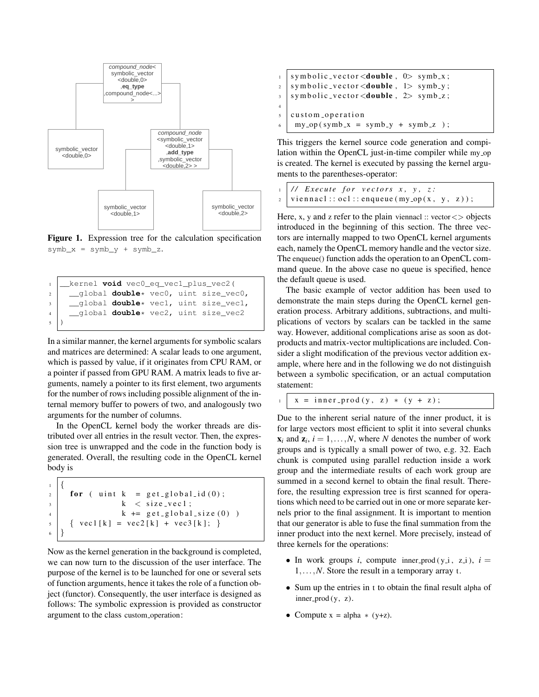

Figure 1. Expression tree for the calculation specification  $symbol_x =$  symb\_y + symb\_z.

```
1 __kernel void vec0_eq_vec1_plus_vec2(
2 __global double* vec0, uint size_vec0,
3 __global double* vec1, uint size_vec1,
4 __global double* vec2, uint size_vec2
5 )
```
In a similar manner, the kernel arguments for symbolic scalars and matrices are determined: A scalar leads to one argument, which is passed by value, if it originates from CPU RAM, or a pointer if passed from GPU RAM. A matrix leads to five arguments, namely a pointer to its first element, two arguments for the number of rows including possible alignment of the internal memory buffer to powers of two, and analogously two arguments for the number of columns.

In the OpenCL kernel body the worker threads are distributed over all entries in the result vector. Then, the expression tree is unwrapped and the code in the function body is generated. Overall, the resulting code in the OpenCL kernel body is

```
1 \mid \{2 \mid for ( uint k = get_global_id(0);
\vert x \vert < \text{size\_vec1};
4 k += get_global_size (0) )
5 \mid \{ \text{vec1} [k] = \text{vec2} [k] + \text{vec3} [k]; \}6 }
```
Now as the kernel generation in the background is completed, we can now turn to the discussion of the user interface. The purpose of the kernel is to be launched for one or several sets of function arguments, hence it takes the role of a function object (functor). Consequently, the user interface is designed as follows: The symbolic expression is provided as constructor argument to the class custom operation:

```
_1 symbolic_vector <double, 0> symb_x;
2 \mid symbolic_vector <double, 1 > symb_y;
3 \mid symbolic_vector <double, 2> symb_z;
4
5 \vert custom operation
6 \mid my\_op(symb_x = symb_y + symb_z);
```
This triggers the kernel source code generation and compilation within the OpenCL just-in-time compiler while my\_op is created. The kernel is executed by passing the kernel arguments to the parentheses-operator:

```
// Execute for vectors x, y, z:
2 \mid viennacl :: ocl :: enqueue (my_op(x, y, z));
```
Here, x, y and z refer to the plain viennacl :: vector  $\langle \rangle$  objects introduced in the beginning of this section. The three vectors are internally mapped to two OpenCL kernel arguments each, namely the OpenCL memory handle and the vector size. The enqueue() function adds the operation to an OpenCL command queue. In the above case no queue is specified, hence the default queue is used.

The basic example of vector addition has been used to demonstrate the main steps during the OpenCL kernel generation process. Arbitrary additions, subtractions, and multiplications of vectors by scalars can be tackled in the same way. However, additional complications arise as soon as dotproducts and matrix-vector multiplications are included. Consider a slight modification of the previous vector addition example, where here and in the following we do not distinguish between a symbolic specification, or an actual computation statement:

```
x = \text{inner\_prod}( y, z) * (y + z);
```
Due to the inherent serial nature of the inner product, it is for large vectors most efficient to split it into several chunks  $\mathbf{x}_i$  and  $\mathbf{z}_i$ ,  $i = 1, \ldots, N$ , where *N* denotes the number of work groups and is typically a small power of two, e.g. 32. Each chunk is computed using parallel reduction inside a work group and the intermediate results of each work group are summed in a second kernel to obtain the final result. Therefore, the resulting expression tree is first scanned for operations which need to be carried out in one or more separate kernels prior to the final assignment. It is important to mention that our generator is able to fuse the final summation from the inner product into the next kernel. More precisely, instead of three kernels for the operations:

- In work groups *i*, compute inner-prod  $(y_i, z_i)$ ,  $i =$ 1,...,*N*. Store the result in a temporary array t.
- Sum up the entries in t to obtain the final result alpha of  $inner_{\text{prod}}(y, z)$ .
- Compute  $x = alpha * (y+z)$ .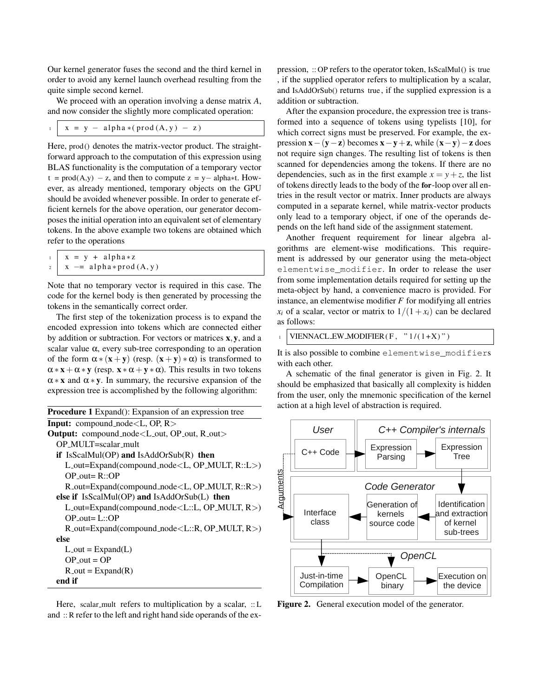Our kernel generator fuses the second and the third kernel in order to avoid any kernel launch overhead resulting from the quite simple second kernel.

We proceed with an operation involving a dense matrix *A*, and now consider the slightly more complicated operation:

$$
x = y - alpha * (prod(A, y) - z)
$$

Here, prod() denotes the matrix-vector product. The straightforward approach to the computation of this expression using BLAS functionality is the computation of a temporary vector  $t = \text{prod}(A, y) - z$ , and then to compute  $z = y - \text{alpha} * t$ . However, as already mentioned, temporary objects on the GPU should be avoided whenever possible. In order to generate efficient kernels for the above operation, our generator decomposes the initial operation into an equivalent set of elementary tokens. In the above example two tokens are obtained which refer to the operations

| $x = y + alpha * z$                 |
|-------------------------------------|
| $\alpha$   x -= alpha * prod (A, y) |

Note that no temporary vector is required in this case. The code for the kernel body is then generated by processing the tokens in the semantically correct order.

The first step of the tokenization process is to expand the encoded expression into tokens which are connected either by addition or subtraction. For vectors or matrices  $x, y$ , and a scalar value  $\alpha$ , every sub-tree corresponding to an operation of the form  $\alpha * (x + y)$  (resp.  $(x + y) * \alpha$ ) is transformed to  $\alpha * x + \alpha * y$  (resp.  $x * \alpha + y * \alpha$ ). This results in two tokens  $\alpha * x$  and  $\alpha * y$ . In summary, the recursive expansion of the expression tree is accomplished by the following algorithm:

| <b>Procedure 1</b> Expand(): Expansion of an expression tree                        |  |  |
|-------------------------------------------------------------------------------------|--|--|
| <b>Input:</b> compound_node $\lt L$ , OP, R $>$                                     |  |  |
| <b>Output:</b> compound_node $\lt L$ _out, OP_out, R_out $>$                        |  |  |
| OP MULT=scalar mult                                                                 |  |  |
| if IsScalMul(OP) and IsAddOrSub $(R)$ then                                          |  |  |
| $L$ -out=Expand(compound_node <l, op_mult,="" r::l="">)</l,>                        |  |  |
| $OP$ out= $R:OP$                                                                    |  |  |
| $R_$ -out=Expand(compound_node <l, <math="" op_mult,="">R::R&gt;)</l,>              |  |  |
| else if IsScalMul(OP) and IsAddOrSub(L) then                                        |  |  |
| L_out=Expand(compound_node <l::l, op_mult,="" r="">)</l::l,>                        |  |  |
| $OP$ out= $L:OP$                                                                    |  |  |
| $R_$ -out=Expand(compound_node <l::<math>R, OP_MULT, <math>R</math>&gt;)</l::<math> |  |  |
| else                                                                                |  |  |
| $L$ -out = $Expand(L)$                                                              |  |  |
| $OP_$ -out = $OP$                                                                   |  |  |
| $R_$ -out = $Expand(R)$                                                             |  |  |
| end if                                                                              |  |  |

Here, scalar\_mult refers to multiplication by a scalar, :: L and :: R refer to the left and right hand side operands of the expression, :: OP refers to the operator token, IsScalMul () is true , if the supplied operator refers to multiplication by a scalar, and IsAddOrSub() returns true , if the supplied expression is a addition or subtraction.

After the expansion procedure, the expression tree is transformed into a sequence of tokens using typelists [10], for which correct signs must be preserved. For example, the expression  $x-(y-z)$  becomes  $x-y+z$ , while  $(x-y)-z$  does not require sign changes. The resulting list of tokens is then scanned for dependencies among the tokens. If there are no dependencies, such as in the first example  $x = y + z$ , the list of tokens directly leads to the body of the for-loop over all entries in the result vector or matrix. Inner products are always computed in a separate kernel, while matrix-vector products only lead to a temporary object, if one of the operands depends on the left hand side of the assignment statement.

Another frequent requirement for linear algebra algorithms are element-wise modifications. This requirement is addressed by our generator using the meta-object elementwise\_modifier. In order to release the user from some implementation details required for setting up the meta-object by hand, a convenience macro is provided. For instance, an elementwise modifier *F* for modifying all entries  $x_i$  of a scalar, vector or matrix to  $1/(1 + x_i)$  can be declared as follows:

```
VIENNACL EW MODIFIER (F, "1/(1+X)")
```
It is also possible to combine elementwise\_modifiers with each other.

A schematic of the final generator is given in Fig. 2. It should be emphasized that basically all complexity is hidden from the user, only the mnemonic specification of the kernel action at a high level of abstraction is required.



Figure 2. General execution model of the generator.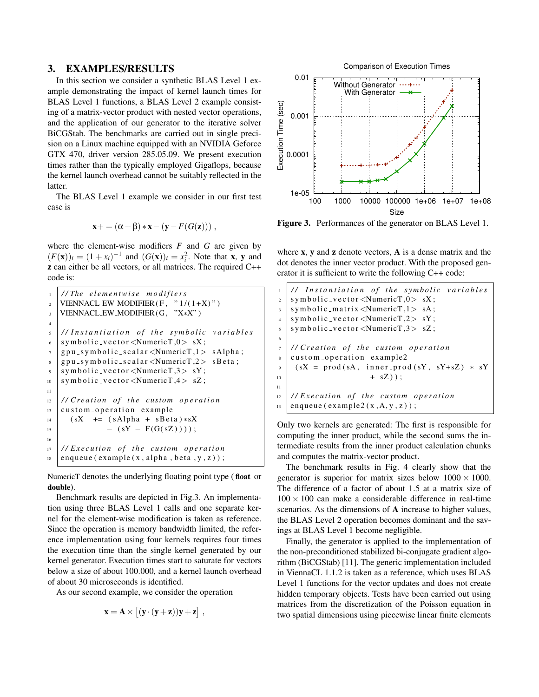# 3. EXAMPLES/RESULTS

In this section we consider a synthetic BLAS Level 1 example demonstrating the impact of kernel launch times for BLAS Level 1 functions, a BLAS Level 2 example consisting of a matrix-vector product with nested vector operations, and the application of our generator to the iterative solver BiCGStab. The benchmarks are carried out in single precision on a Linux machine equipped with an NVIDIA Geforce GTX 470, driver version 285.05.09. We present execution times rather than the typically employed Gigaflops, because the kernel launch overhead cannot be suitably reflected in the latter.

The BLAS Level 1 example we consider in our first test case is

$$
\mathbf{x} + \mathbf{y} = (\alpha + \beta) * \mathbf{x} - (\mathbf{y} - F(G(\mathbf{z})))
$$

where the element-wise modifiers *F* and *G* are given by  $(F(\mathbf{x}))_i = (1 + x_i)^{-1}$  and  $(G(\mathbf{x}))_i = x_i^2$ . Note that **x**, **y** and z can either be all vectors, or all matrices. The required C++ code is:

```
1 / / The e l e m e n t w i s e m o d i f i e r s
2 | VIENNACL_EW_MODIFIER(F, "1/(1+X)")
3 VIENNACL EW MODIFIER (G, "X∗X" )
4
5 // Instantiation of the symbolic variables
6 \mid s y m b o li c _ v e c t o r <Numeric T , 0 > sX;
   gpu-symbolic\_scalar <NumericT,1> sAlpha;
   gpu_s y mbolic_s calar < NumericT, 2> sBeta;9 \mid s y m b o li c _v e c t o r <Numeric T, 3 > sY;
_{10} symbolic_vector <NumericT, 4> sZ;
11
12 // Creation of the custom operation
13 custom operation example
14 ( sX += ( sAlpha + sBeta) *sX
- (sY – F(G(sZ))));
16
17 // Execution of the custom operation
_{18} enqueue (example (x, alpha, beta, y, z));
```
NumericT denotes the underlying floating point type (float or double).

Benchmark results are depicted in Fig.3. An implementation using three BLAS Level 1 calls and one separate kernel for the element-wise modification is taken as reference. Since the operation is memory bandwidth limited, the reference implementation using four kernels requires four times the execution time than the single kernel generated by our kernel generator. Execution times start to saturate for vectors below a size of about 100.000, and a kernel launch overhead of about 30 microseconds is identified.

As our second example, we consider the operation

$$
\mathbf{x} = \mathbf{A} \times [(\mathbf{y} \cdot (\mathbf{y} + \mathbf{z}))\mathbf{y} + \mathbf{z}] ,
$$



Figure 3. Performances of the generator on BLAS Level 1.

where  $x$ ,  $y$  and  $z$  denote vectors,  $A$  is a dense matrix and the dot denotes the inner vector product. With the proposed generator it is sufficient to write the following C++ code:

// Instantiation of the symbolic variables  $2 \mid$  s y m b o li c \_ v e c t o r <Numeric T, 0 > sX;  $3 \mid$  s y m b o l i c \_m a t r i x <N umeric T , 1 > sA ;  $4 \mid$  s y m b o li c \_v e c t o r <Numeric T, 2 > sY;  $5 \mid$  symbolic\_vector <NumericT,  $3 >$  sZ; 6  $7$  // Creation of the custom operation  $\vert$  custom operation example 2  $9 \mid (sX = \text{prod}(sA, \text{inner\_prod}(sY, sY + sZ) * sY)$  $10 + sZ)$  ); 11 12 *// Execution of the custom operation*  $_{13}$  enqueue (example 2 (x, A, y, z));

Only two kernels are generated: The first is responsible for computing the inner product, while the second sums the intermediate results from the inner product calculation chunks and computes the matrix-vector product.

The benchmark results in Fig. 4 clearly show that the generator is superior for matrix sizes below  $1000 \times 1000$ . The difference of a factor of about 1.5 at a matrix size of  $100 \times 100$  can make a considerable difference in real-time scenarios. As the dimensions of A increase to higher values, the BLAS Level 2 operation becomes dominant and the savings at BLAS Level 1 become negligible.

Finally, the generator is applied to the implementation of the non-preconditioned stabilized bi-conjugate gradient algorithm (BiCGStab) [11]. The generic implementation included in ViennaCL 1.1.2 is taken as a reference, which uses BLAS Level 1 functions for the vector updates and does not create hidden temporary objects. Tests have been carried out using matrices from the discretization of the Poisson equation in two spatial dimensions using piecewise linear finite elements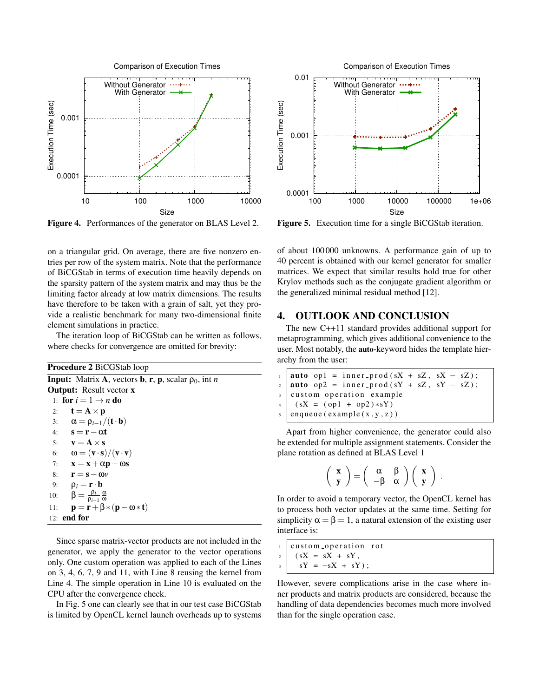

Figure 4. Performances of the generator on BLAS Level 2.

on a triangular grid. On average, there are five nonzero entries per row of the system matrix. Note that the performance of BiCGStab in terms of execution time heavily depends on the sparsity pattern of the system matrix and may thus be the limiting factor already at low matrix dimensions. The results have therefore to be taken with a grain of salt, yet they provide a realistic benchmark for many two-dimensional finite element simulations in practice.

The iteration loop of BiCGStab can be written as follows, where checks for convergence are omitted for brevity:

| <b>Procedure 2 BiCGStab loop</b>                                                                        |  |  |
|---------------------------------------------------------------------------------------------------------|--|--|
| <b>Input:</b> Matrix <b>A</b> , vectors <b>b</b> , <b>r</b> , <b>p</b> , scalar $\rho_0$ , int <i>n</i> |  |  |
| <b>Output:</b> Result vector <b>x</b>                                                                   |  |  |
| 1 for $i = 1 \rightarrow n$ do                                                                          |  |  |
| 2: $\mathbf{t} = \mathbf{A} \times \mathbf{p}$                                                          |  |  |
| 3: $\alpha = \rho_{i-1}/(\mathbf{t} \cdot \mathbf{b})$                                                  |  |  |
| 4: $s = r - \alpha t$                                                                                   |  |  |
| 5: $\mathbf{v} = \mathbf{A} \times \mathbf{s}$                                                          |  |  |
| $\omega = (\mathbf{v} \cdot \mathbf{s})/(\mathbf{v} \cdot \mathbf{v})$<br>6:                            |  |  |
| $x = x + \alpha p + \omega s$<br>7:                                                                     |  |  |
| 8:<br>$\mathbf{r} = \mathbf{s} - \mathbf{\omega}v$                                                      |  |  |
| 9: $\rho_i = \mathbf{r} \cdot \mathbf{b}$                                                               |  |  |
| $\beta = \frac{\rho_i}{\rho_{i-1}} \frac{\alpha}{\omega}$<br>10:                                        |  |  |
| $\mathbf{p} = \mathbf{r} + \beta * (\mathbf{p} - \mathbf{\omega} * \mathbf{t})$<br>11:                  |  |  |
| $12:$ end for                                                                                           |  |  |

Since sparse matrix-vector products are not included in the generator, we apply the generator to the vector operations only. One custom operation was applied to each of the Lines on 3, 4, 6, 7, 9 and 11, with Line 8 reusing the kernel from Line 4. The simple operation in Line 10 is evaluated on the CPU after the convergence check.

In Fig. 5 one can clearly see that in our test case BiCGStab is limited by OpenCL kernel launch overheads up to systems



Figure 5. Execution time for a single BiCGStab iteration.

of about 100 000 unknowns. A performance gain of up to 40 percent is obtained with our kernel generator for smaller matrices. We expect that similar results hold true for other Krylov methods such as the conjugate gradient algorithm or the generalized minimal residual method [12].

### 4. OUTLOOK AND CONCLUSION

The new C++11 standard provides additional support for metaprogramming, which gives additional convenience to the user. Most notably, the auto-keyword hides the template hierarchy from the user:

 $auto op1 = inner_prob(sX + sZ, sX - sZ);$  $2 \mid \text{auto op2 = inner\_prod(sY + sZ, sY - sZ)};$  $3$  custom operation example  $4 \mid (sX = (op1 + op2) *sY)$  $en queue ( example ( x , y , z ) )$ 

Apart from higher convenience, the generator could also be extended for multiple assignment statements. Consider the plane rotation as defined at BLAS Level 1

$$
\left(\begin{array}{c}x\\y\end{array}\right)=\left(\begin{array}{cc}\alpha&\beta\\-\beta&\alpha\end{array}\right)\left(\begin{array}{c}x\\y\end{array}\right)\;.
$$

In order to avoid a temporary vector, the OpenCL kernel has to process both vector updates at the same time. Setting for simplicity  $\alpha = \beta = 1$ , a natural extension of the existing user interface is:

 $_1$  custom operation rot  $2 \mid (sX = sX + sY,$  $sY = -sX + sY$  ;

However, severe complications arise in the case where inner products and matrix products are considered, because the handling of data dependencies becomes much more involved than for the single operation case.